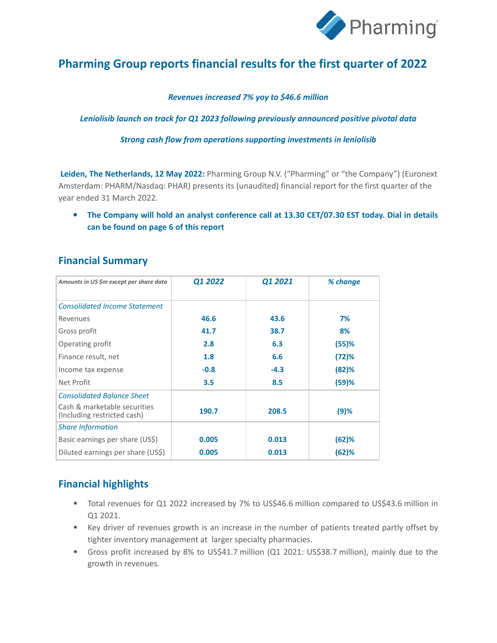

# **Pharming Group reports financial results for the first quarter of 2022**

#### *Revenues increased 7% yoy to \$46.6 million*

*Leniolisib launch on track for Q1 2023 following previously announced positive pivotal data*

*Strong cash flow from operations supporting investments in leniolisib*

**Leiden, The Netherlands, 12 May 2022:** Pharming Group N.V. ("Pharming" or "the Company") (Euronext Amsterdam: PHARM/Nasdaq: PHAR) presents its (unaudited) financial report for the first quarter of the year ended 31 March 2022.

**• The Company will hold an analyst conference call at 13.30 CET/07.30 EST today. Dial in details can be found on page 6 of this report** 

## **Financial Summary**

| Amounts in US \$m except per share data                     | Q1 2022 | Q1 2021 | % change |
|-------------------------------------------------------------|---------|---------|----------|
|                                                             |         |         |          |
| <b>Consolidated Income Statement</b>                        |         |         |          |
| Revenues                                                    | 46.6    | 43.6    | 7%       |
| Gross profit                                                | 41.7    | 38.7    | 8%       |
| Operating profit                                            | 2.8     | 6.3     | (55)%    |
| Finance result, net                                         | 1.8     | 6.6     | (72)%    |
| Income tax expense                                          | $-0.8$  | $-4.3$  | (82)%    |
| Net Profit                                                  | 3.5     | 8.5     | (59)%    |
| <b>Consolidated Balance Sheet</b>                           |         |         |          |
| Cash & marketable securities<br>(Including restricted cash) | 190.7   | 208.5   | (9)%     |
| <b>Share Information</b>                                    |         |         |          |
| Basic earnings per share (US\$)                             | 0.005   | 0.013   | (62)%    |
| Diluted earnings per share (US\$)                           | 0.005   | 0.013   | (62)%    |

# **Financial highlights**

- Total revenues for Q1 2022 increased by 7% to US\$46.6 million compared to US\$43.6 million in Q1 2021.
- Key driver of revenues growth is an increase in the number of patients treated partly offset by tighter inventory management at larger specialty pharmacies.
- Gross profit increased by 8% to US\$41.7 million (Q1 2021: US\$38.7 million), mainly due to the growth in revenues.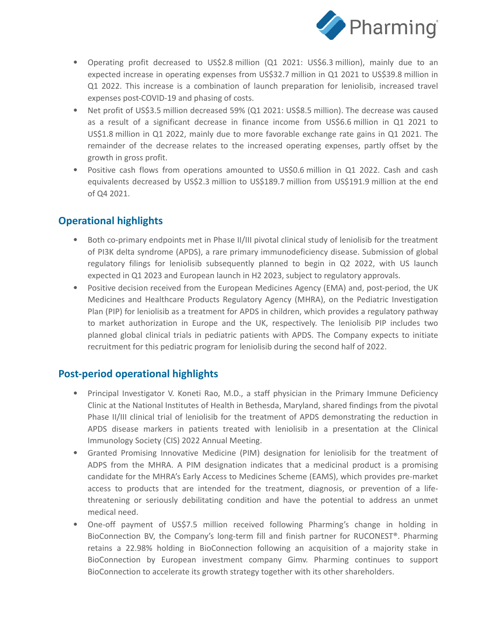

- Operating profit decreased to US\$2.8 million (Q1 2021: US\$6.3 million), mainly due to an expected increase in operating expenses from US\$32.7 million in Q1 2021 to US\$39.8 million in Q1 2022. This increase is a combination of launch preparation for leniolisib, increased travel expenses post-COVID-19 and phasing of costs.
- Net profit of US\$3.5 million decreased 59% (Q1 2021: US\$8.5 million). The decrease was caused as a result of a significant decrease in finance income from US\$6.6 million in Q1 2021 to US\$1.8 million in Q1 2022, mainly due to more favorable exchange rate gains in Q1 2021. The remainder of the decrease relates to the increased operating expenses, partly offset by the growth in gross profit.
- Positive cash flows from operations amounted to US\$0.6 million in Q1 2022. Cash and cash equivalents decreased by US\$2.3 million to US\$189.7 million from US\$191.9 million at the end of Q4 2021.

# **Operational highlights**

- Both co-primary endpoints met in Phase II/III pivotal clinical study of leniolisib for the treatment of PI3K delta syndrome (APDS), a rare primary immunodeficiency disease. Submission of global regulatory filings for leniolisib subsequently planned to begin in Q2 2022, with US launch expected in Q1 2023 and European launch in H2 2023, subject to regulatory approvals.
- Positive decision received from the European Medicines Agency (EMA) and, post-period, the UK Medicines and Healthcare Products Regulatory Agency (MHRA), on the Pediatric Investigation Plan (PIP) for leniolisib as a treatment for APDS in children, which provides a regulatory pathway to market authorization in Europe and the UK, respectively. The leniolisib PIP includes two planned global clinical trials in pediatric patients with APDS. The Company expects to initiate recruitment for this pediatric program for leniolisib during the second half of 2022.

## **Post-period operational highlights**

- Principal Investigator V. Koneti Rao, M.D., a staff physician in the Primary Immune Deficiency Clinic at the National Institutes of Health in Bethesda, Maryland, shared findings from the pivotal Phase II/III clinical trial of leniolisib for the treatment of APDS demonstrating the reduction in APDS disease markers in patients treated with leniolisib in a presentation at the Clinical Immunology Society (CIS) 2022 Annual Meeting.
- Granted Promising Innovative Medicine (PIM) designation for leniolisib for the treatment of ADPS from the MHRA. A PIM designation indicates that a medicinal product is a promising candidate for the MHRA's Early Access to Medicines Scheme (EAMS), which provides pre-market access to products that are intended for the treatment, diagnosis, or prevention of a lifethreatening or seriously debilitating condition and have the potential to address an unmet medical need.
- One-off payment of US\$7.5 million received following Pharming's change in holding in BioConnection BV, the Company's long-term fill and finish partner for RUCONEST®. Pharming retains a 22.98% holding in BioConnection following an acquisition of a majority stake in BioConnection by European investment company Gimv. Pharming continues to support BioConnection to accelerate its growth strategy together with its other shareholders.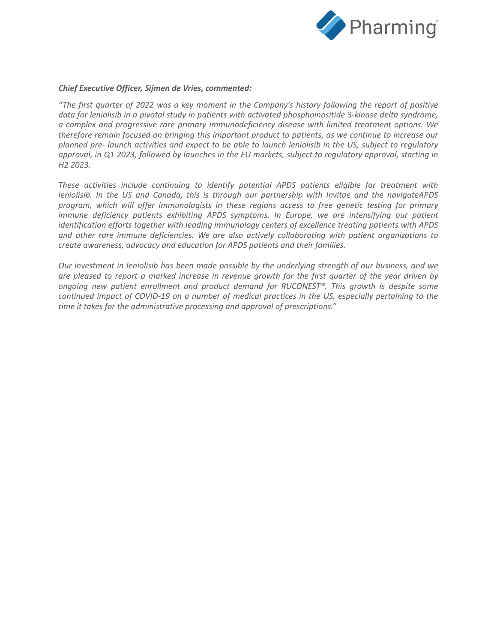

#### *Chief Executive Officer, Sijmen de Vries, commented:*

*"The first quarter of 2022 was a key moment in the Company's history following the report of positive data for leniolisib in a pivotal study in patients with activated phosphoinositide 3-kinase delta syndrome, a complex and progressive rare primary immunodeficiency disease with limited treatment options. We therefore remain focused on bringing this important product to patients, as we continue to increase our planned pre- launch activities and expect to be able to launch leniolisib in the US, subject to regulatory approval, in Q1 2023, followed by launches in the EU markets, subject to regulatory approval, starting in H2 2023.*

*These activities include continuing to identify potential APDS patients eligible for treatment with leniolisib. In the US and Canada, this is through our partnership with Invitae and the navigateAPDS program, which will offer immunologists in these regions access to free genetic testing for primary immune deficiency patients exhibiting APDS symptoms. In Europe, we are intensifying our patient identification efforts together with leading immunology centers of excellence treating patients with APDS and other rare immune deficiencies. We are also actively collaborating with patient organizations to create awareness, advocacy and education for APDS patients and their families.*

*Our investment in leniolisib has been made possible by the underlying strength of our business, and we are pleased to report a marked increase in revenue growth for the first quarter of the year driven by ongoing new patient enrollment and product demand for RUCONEST®. This growth is despite some continued impact of COVID-19 on a number of medical practices in the US, especially pertaining to the time it takes for the administrative processing and approval of prescriptions."*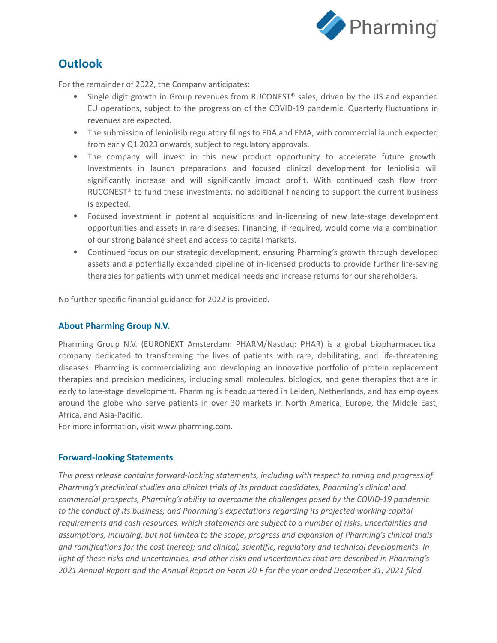

# **Outlook**

For the remainder of 2022, the Company anticipates:

- Single digit growth in Group revenues from RUCONEST® sales, driven by the US and expanded EU operations, subject to the progression of the COVID-19 pandemic. Quarterly fluctuations in revenues are expected.
- The submission of leniolisib regulatory filings to FDA and EMA, with commercial launch expected from early Q1 2023 onwards, subject to regulatory approvals.
- The company will invest in this new product opportunity to accelerate future growth. Investments in launch preparations and focused clinical development for leniolisib will significantly increase and will significantly impact profit. With continued cash flow from RUCONEST<sup>®</sup> to fund these investments, no additional financing to support the current business is expected.
- Focused investment in potential acquisitions and in-licensing of new late-stage development opportunities and assets in rare diseases. Financing, if required, would come via a combination of our strong balance sheet and access to capital markets.
- Continued focus on our strategic development, ensuring Pharming's growth through developed assets and a potentially expanded pipeline of in-licensed products to provide further life-saving therapies for patients with unmet medical needs and increase returns for our shareholders.

No further specific financial guidance for 2022 is provided.

### **About Pharming Group N.V.**

Pharming Group N.V. (EURONEXT Amsterdam: PHARM/Nasdaq: PHAR) is a global biopharmaceutical company dedicated to transforming the lives of patients with rare, debilitating, and life-threatening diseases. Pharming is commercializing and developing an innovative portfolio of protein replacement therapies and precision medicines, including small molecules, biologics, and gene therapies that are in early to late-stage development. Pharming is headquartered in Leiden, Netherlands, and has employees around the globe who serve patients in over 30 markets in North America, Europe, the Middle East, Africa, and Asia-Pacific.

For more information, visit www.pharming.com.

#### **Forward-looking Statements**

*This press release contains forward-looking statements, including with respect to timing and progress of Pharming's preclinical studies and clinical trials of its product candidates, Pharming's clinical and commercial prospects, Pharming's ability to overcome the challenges posed by the COVID-19 pandemic to the conduct of its business, and Pharming's expectations regarding its projected working capital requirements and cash resources, which statements are subject to a number of risks, uncertainties and assumptions, including, but not limited to the scope, progress and expansion of Pharming's clinical trials and ramifications for the cost thereof; and clinical, scientific, regulatory and technical developments. In light of these risks and uncertainties, and other risks and uncertainties that are described in Pharming's 2021 Annual Report and the Annual Report on Form 20-F for the year ended December 31, 2021 filed*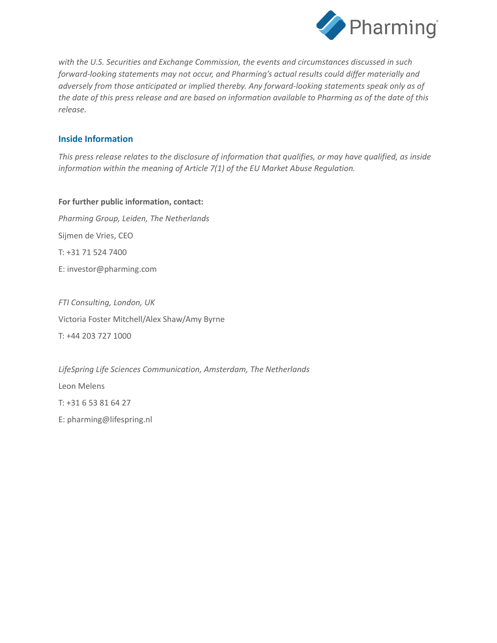

*with the U.S. Securities and Exchange Commission, the events and circumstances discussed in such forward-looking statements may not occur, and Pharming's actual results could differ materially and adversely from those anticipated or implied thereby. Any forward-looking statements speak only as of the date of this press release and are based on information available to Pharming as of the date of this release.*

### **Inside Information**

*This press release relates to the disclosure of information that qualifies, or may have qualified, as inside information within the meaning of Article 7(1) of the EU Market Abuse Regulation.*

**For further public information, contact:** *Pharming Group, Leiden, The Netherlands* Sijmen de Vries, CEO T: +31 71 524 7400 E: investor@pharming.com

*FTI Consulting, London, UK* Victoria Foster Mitchell/Alex Shaw/Amy Byrne T: +44 203 727 1000

*LifeSpring Life Sciences Communication, Amsterdam, The Netherlands* Leon Melens T: +31 6 53 81 64 27 E: pharming@lifespring.nl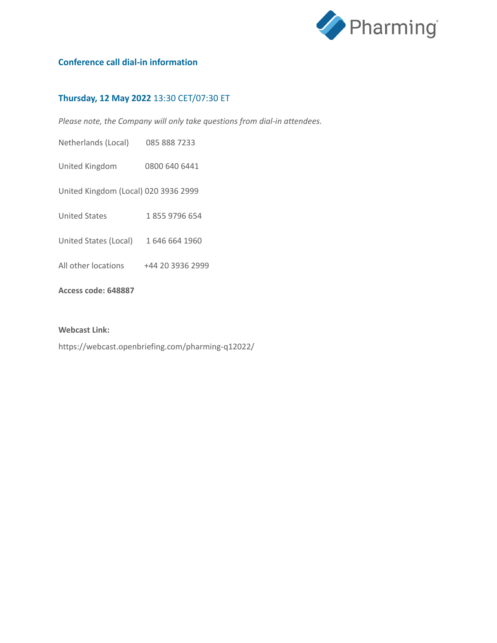

## **Conference call dial-in information**

### **Thursday, 12 May 2022** 13:30 CET/07:30 ET

*Please note, the Company will only take questions from dial-in attendees.*

Netherlands (Local) 085 888 7233

United Kingdom 0800 640 6441

United Kingdom (Local) 020 3936 2999

United States 1 855 9796 654

- United States (Local) 1 646 664 1960
- All other locations +44 20 3936 2999

#### **Access code: 648887**

#### **Webcast Link:**

https://webcast.openbriefing.com/pharming-q12022/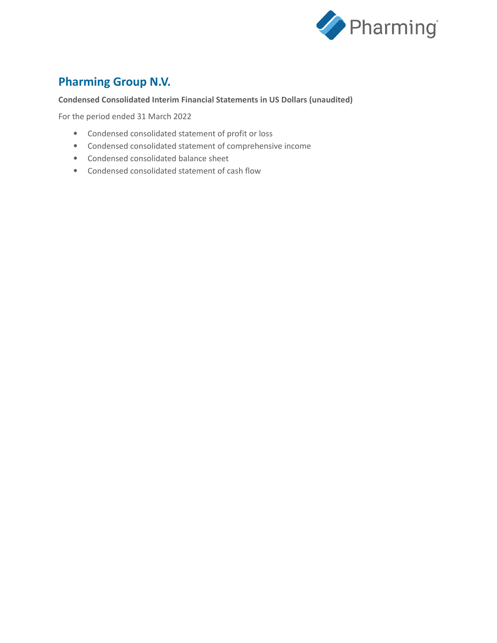

# **Pharming Group N.V.**

### **Condensed Consolidated Interim Financial Statements in US Dollars (unaudited)**

For the period ended 31 March 2022

- Condensed consolidated statement of profit or loss
- Condensed consolidated statement of comprehensive income
- Condensed consolidated balance sheet
- Condensed consolidated statement of cash flow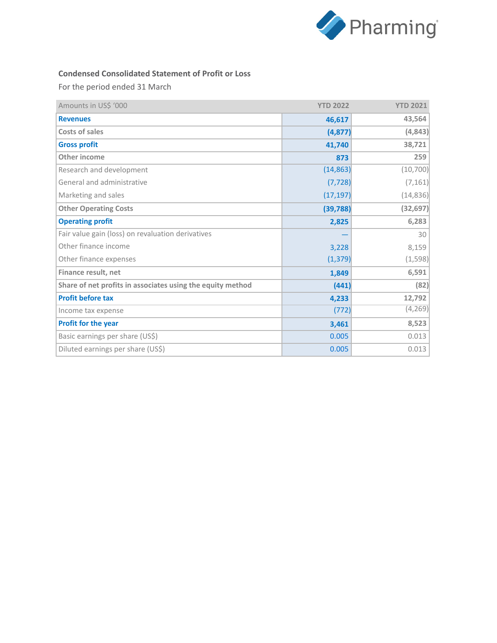

### **Condensed Consolidated Statement of Profit or Loss**

For the period ended 31 March

| Amounts in US\$ '000                                       | <b>YTD 2022</b> | <b>YTD 2021</b> |
|------------------------------------------------------------|-----------------|-----------------|
| <b>Revenues</b>                                            | 46,617          | 43,564          |
| Costs of sales                                             | (4, 877)        | (4, 843)        |
| <b>Gross profit</b>                                        | 41,740          | 38,721          |
| Other income                                               | 873             | 259             |
| Research and development                                   | (14, 863)       | (10, 700)       |
| General and administrative                                 | (7, 728)        | (7, 161)        |
| Marketing and sales                                        | (17, 197)       | (14, 836)       |
| <b>Other Operating Costs</b>                               | (39, 788)       | (32, 697)       |
| <b>Operating profit</b>                                    | 2,825           | 6,283           |
| Fair value gain (loss) on revaluation derivatives          |                 | 30              |
| Other finance income                                       | 3,228           | 8,159           |
| Other finance expenses                                     | (1, 379)        | (1, 598)        |
| Finance result, net                                        | 1,849           | 6,591           |
| Share of net profits in associates using the equity method | (441)           | (82)            |
| <b>Profit before tax</b>                                   | 4,233           | 12,792          |
| Income tax expense                                         | (772)           | (4, 269)        |
| Profit for the year                                        | 3,461           | 8,523           |
| Basic earnings per share (US\$)                            | 0.005           | 0.013           |
| Diluted earnings per share (US\$)                          | 0.005           | 0.013           |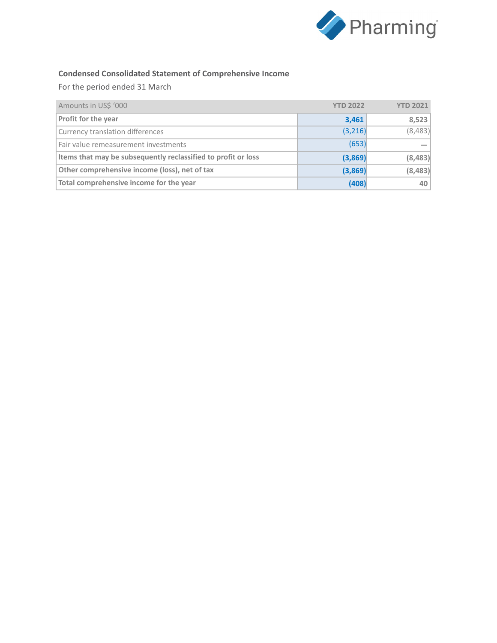

## **Condensed Consolidated Statement of Comprehensive Income**

For the period ended 31 March

| Amounts in US\$ '000                                          | <b>YTD 2022</b> | <b>YTD 2021</b> |
|---------------------------------------------------------------|-----------------|-----------------|
| Profit for the year                                           | 3,461           | 8,523           |
| Currency translation differences                              | (3,216)         | (8,483)         |
| Fair value remeasurement investments                          | (653)           |                 |
| Items that may be subsequently reclassified to profit or loss | (3,869)         | (8,483)         |
| Other comprehensive income (loss), net of tax                 | (3,869)         | (8, 483)        |
| Total comprehensive income for the year                       | (408)           | 40              |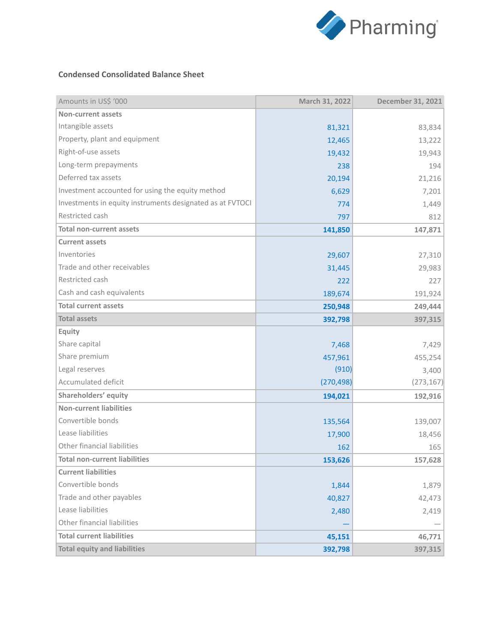

#### **Condensed Consolidated Balance Sheet**

| Amounts in US\$ '000                                      | March 31, 2022 | December 31, 2021 |
|-----------------------------------------------------------|----------------|-------------------|
| <b>Non-current assets</b>                                 |                |                   |
| Intangible assets                                         | 81,321         | 83,834            |
| Property, plant and equipment                             | 12,465         | 13,222            |
| Right-of-use assets                                       | 19,432         | 19,943            |
| Long-term prepayments                                     | 238            | 194               |
| Deferred tax assets                                       | 20,194         | 21,216            |
| Investment accounted for using the equity method          | 6,629          | 7,201             |
| Investments in equity instruments designated as at FVTOCI | 774            | 1,449             |
| Restricted cash                                           | 797            | 812               |
| <b>Total non-current assets</b>                           | 141,850        | 147,871           |
| <b>Current assets</b>                                     |                |                   |
| Inventories                                               | 29,607         | 27,310            |
| Trade and other receivables                               | 31,445         | 29,983            |
| Restricted cash                                           | 222            | 227               |
| Cash and cash equivalents                                 | 189,674        | 191,924           |
| <b>Total current assets</b>                               | 250,948        | 249,444           |
| <b>Total assets</b>                                       | 392,798        | 397,315           |
| Equity                                                    |                |                   |
| Share capital                                             | 7,468          | 7,429             |
| Share premium                                             | 457,961        | 455,254           |
| Legal reserves                                            | (910)          | 3,400             |
| Accumulated deficit                                       | (270, 498)     | (273, 167)        |
| Shareholders' equity                                      | 194,021        | 192,916           |
| <b>Non-current liabilities</b>                            |                |                   |
| Convertible bonds                                         | 135,564        | 139,007           |
| Lease liabilities                                         | 17,900         | 18,456            |
| Other financial liabilities                               | 162            | 165               |
| Total non-current liabilities                             | 153,626        | 157,628           |
| <b>Current liabilities</b>                                |                |                   |
| Convertible bonds                                         | 1,844          | 1,879             |
| Trade and other payables                                  | 40,827         | 42,473            |
| Lease liabilities                                         | 2,480          | 2,419             |
| Other financial liabilities                               |                |                   |
| <b>Total current liabilities</b>                          | 45,151         | 46,771            |
| <b>Total equity and liabilities</b>                       | 392,798        | 397,315           |